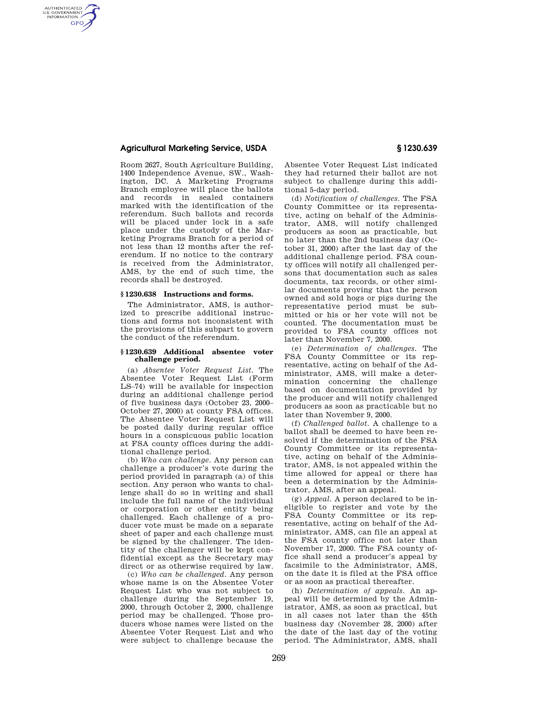## **Agricultural Marketing Service, USDA § 1230.639**

AUTHENTICATED<br>U.S. GOVERNMENT<br>INFORMATION **GPO** 

> Room 2627, South Agriculture Building, 1400 Independence Avenue, SW., Washington, DC. A Marketing Programs Branch employee will place the ballots and records in sealed containers marked with the identification of the referendum. Such ballots and records will be placed under lock in a safe place under the custody of the Marketing Programs Branch for a period of not less than 12 months after the referendum. If no notice to the contrary is received from the Administrator, AMS, by the end of such time, the records shall be destroyed.

## **§ 1230.638 Instructions and forms.**

The Administrator, AMS, is authorized to prescribe additional instructions and forms not inconsistent with the provisions of this subpart to govern the conduct of the referendum.

## **§ 1230.639 Additional absentee voter challenge period.**

(a) *Absentee Voter Request List.* The Absentee Voter Request List (Form LS–74) will be available for inspection during an additional challenge period of five business days (October 23, 2000– October 27, 2000) at county FSA offices. The Absentee Voter Request List will be posted daily during regular office hours in a conspicuous public location at FSA county offices during the additional challenge period.

(b) *Who can challenge.* Any person can challenge a producer's vote during the period provided in paragraph (a) of this section. Any person who wants to challenge shall do so in writing and shall include the full name of the individual or corporation or other entity being challenged. Each challenge of a producer vote must be made on a separate sheet of paper and each challenge must be signed by the challenger. The identity of the challenger will be kept confidential except as the Secretary may direct or as otherwise required by law.

(c) *Who can be challenged.* Any person whose name is on the Absentee Voter Request List who was not subject to challenge during the September 19, 2000, through October 2, 2000, challenge period may be challenged. Those producers whose names were listed on the Absentee Voter Request List and who were subject to challenge because the

Absentee Voter Request List indicated they had returned their ballot are not subject to challenge during this additional 5-day period.

(d) *Notification of challenges.* The FSA County Committee or its representative, acting on behalf of the Administrator, AMS, will notify challenged producers as soon as practicable, but no later than the 2nd business day (October 31, 2000) after the last day of the additional challenge period. FSA county offices will notify all challenged persons that documentation such as sales documents, tax records, or other similar documents proving that the person owned and sold hogs or pigs during the representative period must be submitted or his or her vote will not be counted. The documentation must be provided to FSA county offices not later than November 7, 2000.

(e) *Determination of challenges.* The FSA County Committee or its representative, acting on behalf of the Administrator, AMS, will make a determination concerning the challenge based on documentation provided by the producer and will notify challenged producers as soon as practicable but no later than November 9, 2000.

(f) *Challenged ballot.* A challenge to a ballot shall be deemed to have been resolved if the determination of the FSA County Committee or its representative, acting on behalf of the Administrator, AMS, is not appealed within the time allowed for appeal or there has been a determination by the Administrator, AMS, after an appeal.

(g) *Appeal.* A person declared to be ineligible to register and vote by the FSA County Committee or its representative, acting on behalf of the Administrator, AMS, can file an appeal at the FSA county office not later than November 17, 2000. The FSA county office shall send a producer's appeal by facsimile to the Administrator, AMS, on the date it is filed at the FSA office or as soon as practical thereafter.

(h) *Determination of appeals.* An appeal will be determined by the Administrator, AMS, as soon as practical, but in all cases not later than the 45th business day (November 28, 2000) after the date of the last day of the voting period. The Administrator, AMS, shall